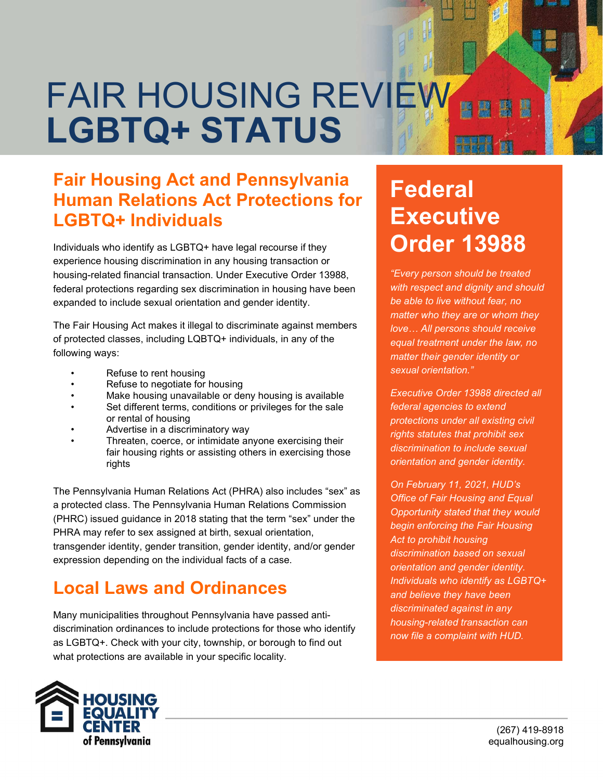## FAIR HOUSING REVIEW 爉 LGBTQ+ STATUS

#### Fair Housing Act and Pennsylvania Human Relations Act Protections for LGBTQ+ Individuals

Individuals who identify as LGBTQ+ have legal recourse if they experience housing discrimination in any housing transaction or housing-related financial transaction. Under Executive Order 13988, federal protections regarding sex discrimination in housing have been expanded to include sexual orientation and gender identity.

The Fair Housing Act makes it illegal to discriminate against members of protected classes, including LQBTQ+ individuals, in any of the following ways:

- Refuse to rent housing
- Refuse to negotiate for housing
- Make housing unavailable or deny housing is available
- Set different terms, conditions or privileges for the sale or rental of housing
- Advertise in a discriminatory way
- Threaten, coerce, or intimidate anyone exercising their fair housing rights or assisting others in exercising those rights

The Pennsylvania Human Relations Act (PHRA) also includes "sex" as a protected class. The Pennsylvania Human Relations Commission (PHRC) issued guidance in 2018 stating that the term "sex" under the PHRA may refer to sex assigned at birth, sexual orientation, transgender identity, gender transition, gender identity, and/or gender expression depending on the individual facts of a case.

### Local Laws and Ordinances

Many municipalities throughout Pennsylvania have passed antidiscrimination ordinances to include protections for those who identify as LGBTQ+. Check with your city, township, or borough to find out what protections are available in your specific locality.

# Federal **Executive** Order 13988

"Every person should be treated with respect and dignity and should be able to live without fear, no matter who they are or whom they love… All persons should receive equal treatment under the law, no matter their gender identity or sexual orientation."

Executive Order 13988 directed all federal agencies to extend protections under all existing civil rights statutes that prohibit sex discrimination to include sexual orientation and gender identity.

On February 11, 2021, HUD's Office of Fair Housing and Equal Opportunity stated that they would begin enforcing the Fair Housing Act to prohibit housing discrimination based on sexual orientation and gender identity. Individuals who identify as LGBTQ+ and believe they have been discriminated against in any housing-related transaction can now file a complaint with HUD.